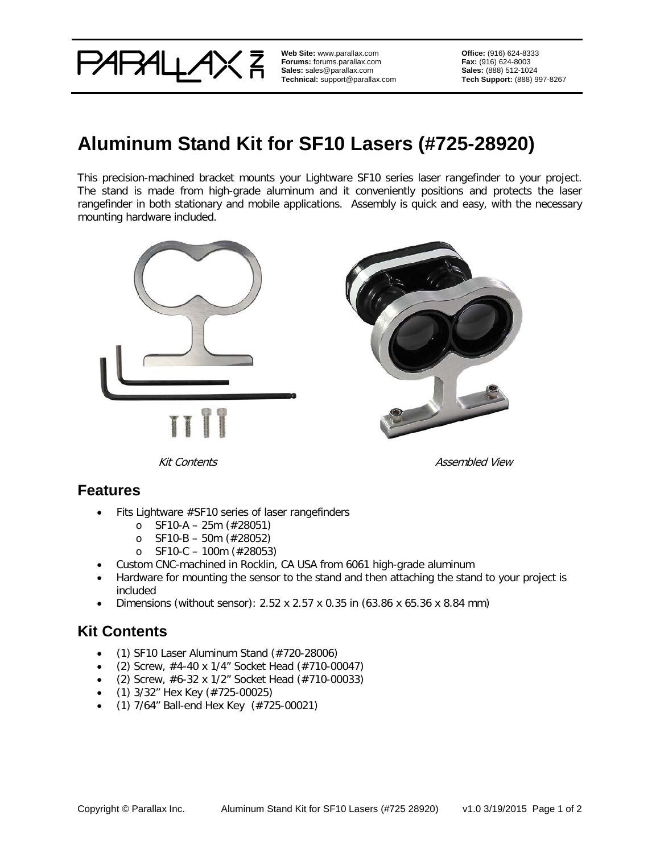

**Web Site:** www.parallax.com **Forums:** forums.parallax.com **Sales:** sales@parallax.com **Technical:** support@parallax.com **Office:** (916) 624-8333 **Fax:** (916) 624-8003 **Sales:** (888) 512-1024 **Tech Support:** (888) 997-8267

# **Aluminum Stand Kit for SF10 Lasers (#725-28920)**

This precision-machined bracket mounts your Lightware SF10 series laser rangefinder to your project. The stand is made from high-grade aluminum and it conveniently positions and protects the laser rangefinder in both stationary and mobile applications. Assembly is quick and easy, with the necessary mounting hardware included.



Kit Contents **Assembled** View

#### **Features**

- Fits Lightware #SF10 series of laser rangefinders
	- o SF10-A 25m (#28051)
	- o SF10-B 50m (#28052)
	- o SF10-C 100m (#28053)
- Custom CNC-machined in Rocklin, CA USA from 6061 high-grade aluminum
- Hardware for mounting the sensor to the stand and then attaching the stand to your project is included
- Dimensions (without sensor):  $2.52 \times 2.57 \times 0.35$  in (63.86 x 65.36 x 8.84 mm)

## **Kit Contents**

- $\bullet$  (1) SF10 Laser Aluminum Stand  $(\#720-28006)$
- (2) Screw,  $\#4-40 \times 1/4$ " Socket Head ( $\#710-00047$ )
- (2) Screw,  $#6-32 \times 1/2"$  Socket Head ( $#710-00033$ )
- (1) 3/32" Hex Key (#725-00025)
- (1) 7/64" Ball-end Hex Key (#725-00021)